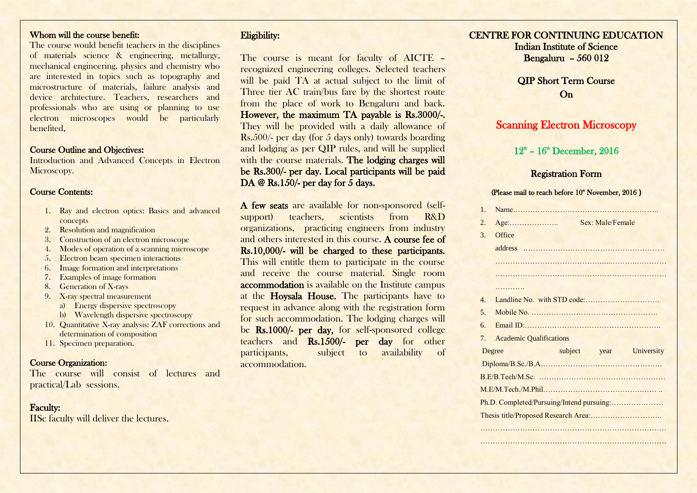## Whom will the course benefit:

The course would benefit teachers in the disciplines of materials science & engineering, metallurgy, mechanical engineering, physics and chemistry who are interested in topics such as topography and microstructure of materials, failure analysis and device architecture. Teachers, researchers and professionals who are using or planning to use electron microscopes would be particularly benefited.

## Course Outline and Objectives:

Introduction and Advanced Concepts in Electron Microscopy.

# Course Contents:

- 1. Ray and electron optics: Basics and advanced concepts
- 2. Resolution and magnification
- 3. Construction of an electron microscope
- 4. Modes of operation of a scanning microscope
- 5. Electron beam specimen interactions
- 6. Image formation and interpretations
- 7. Examples of image formation
- 8. Generation of X-rays
- 9. X-ray spectral measurement
	- a) Energy dispersive spectroscopy
	- b) Wavelength dispersive spectroscopy
- 10. Quantitative X-ray analysis: ZAF corrections and determination of composition
- 11. Specimen preparation.

# Course Organization:

The course will consist of lectures and practical/Lab sessions.

# Faculty:

IISc faculty will deliver the lectures.

# Eligibility:

The course is meant for faculty of AICTE recognized engineering colleges. Selected teachers will be paid TA at actual subject to the limit of Three tier AC train/bus fare by the shortest route from the place of work to Bengaluru and back. However, the maximum TA payable is Rs.3000/-. They will be provided with a daily allowance of Rs.500/- per day (for 5 days only) towards boarding and lodging as per QIP rules, and will be supplied with the course materials. The lodging charges will be Rs.300/- per day. Local participants will be paid DA @ Rs.150/- per day for 5 days.

A few seats are available for non-sponsored (selfsupport) teachers, scientists from R&D organizations, practicing engineers from industry and others interested in this course. A course fee of Rs.10,000/- will be charged to these participants. This will entitle them to participate in the course and receive the course material. Single room accommodation is available on the Institute campus at the Hoysala House. The participants have to request in advance along with the registration form for such accommodation. The lodging charges will be Rs.1000/- per day, for self-sponsored college teachers and Rs.1500/- per day for other participants, subject to availability of accommodation.

## CENTRE FOR CONTINUING EDUCATION Indian Institute of Science

Bengaluru – 560 012

QIP Short Term Course On

# Scanning Electron Microscopy

## $12<sup>th</sup> - 16<sup>th</sup>$  December, 2016

# Registration Form

#### (Please mail to reach before 10<sup>th</sup> November, 2016)

| 1.             |                                |  |                         |  |
|----------------|--------------------------------|--|-------------------------|--|
| 2.             |                                |  | Sex: Male/Female        |  |
| 3.             | Office                         |  |                         |  |
|                |                                |  |                         |  |
|                |                                |  |                         |  |
|                |                                |  |                         |  |
|                | .                              |  |                         |  |
| $\mathbf{4}$ . |                                |  |                         |  |
| .5.            |                                |  |                         |  |
| 6.             |                                |  |                         |  |
| 7 <sub>1</sub> | <b>Academic Qualifications</b> |  |                         |  |
|                | Degree                         |  | subject year University |  |
|                |                                |  |                         |  |
|                |                                |  |                         |  |
|                |                                |  |                         |  |
|                |                                |  |                         |  |
|                |                                |  |                         |  |
|                |                                |  |                         |  |

…………………………………………………………………